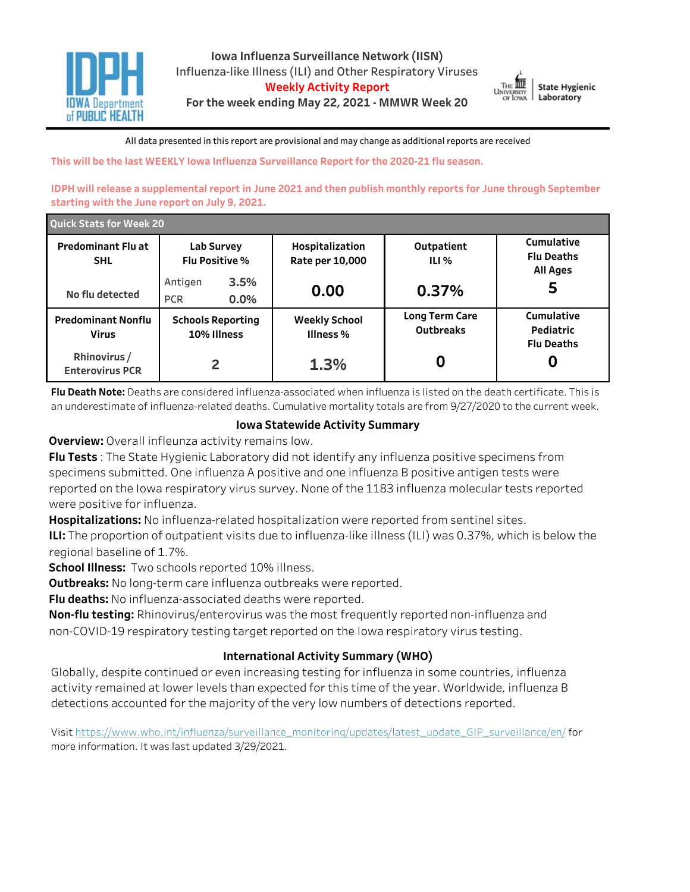



All data presented in this report are provisional and may change as additional reports are received

This will be the last WEEKLY lowa Influenza Surveillance Report for the 2020-21 flu season.

**IDPH will release a supplemental report in June 2021 and then publish monthly reports for June through September** starting with the June report on July 9, 2021.

| <b>Quick Stats for Week 20</b>            |                                          |                                    |                             |                                              |  |  |
|-------------------------------------------|------------------------------------------|------------------------------------|-----------------------------|----------------------------------------------|--|--|
| <b>Predominant Flu at</b><br><b>SHL</b>   | Lab Survey<br><b>Flu Positive %</b>      | Hospitalization<br>Rate per 10,000 | Outpatient<br>ILI %         | Cumulative<br><b>Flu Deaths</b><br>All Ages  |  |  |
| No flu detected                           | 3.5%<br>Antigen<br>$0.0\%$<br><b>PCR</b> | 0.00                               | 0.37%                       | כ                                            |  |  |
| <b>Predominant Nonflu</b><br><b>Virus</b> | <b>Schools Reporting</b><br>10% Illness  | <b>Weekly School</b><br>Illness %  | Long Term Care<br>Outbreaks | Cumulative<br>Pediatric<br><b>Flu Deaths</b> |  |  |
| Rhinovirus/<br><b>Enterovirus PCR</b>     | 2                                        | 1.3%                               |                             | U                                            |  |  |

**Flu Death Note:** Deaths are considered influenza-associated when influenza is listed on the death certificate. This is an underestimate of influenza-related deaths. Cumulative mortality totals are from 9/27/2020 to the current week.

## **IowaStatewideActivitySummary**

**Overview:** Overall infleunza activity remains low.

**Flu Tests**: The State Hygienic Laboratory did not identify any influenza positive specimens from specimens submitted. One influenza A positive and one influenza B positive antigen tests were reported on the Iowa respiratory virus survey. None of the 1183 influenza molecular tests reported were positive for influenza.

Hospitalizations: No influenza-related hospitalization were reported from sentinel sites.

**ILI:** The proportion of outpatient visits due to influenza-like illness (ILI) was 0.37%, which is below the regional baseline of 1.7%.

**School Illness:** Two schools reported 10% illness.

**Outbreaks:** No long-term care influenza outbreaks were reported.

Flu deaths: No influenza-associated deaths were reported.

**Non-flu testing:** Rhinovirus/enterovirus was the most frequently reported non-influenza and non-COVID-19 respiratory testing target reported on the Iowa respiratory virus testing.

# **International Activity Summary (WHO)**

Globally, despite continued or even increasing testing for influenza in some countries, influenza activity remained at lower levels than expected for this time of the year. Worldwide, influenza B detections accounted for the majority of the very low numbers of detections reported.

Visit https://www.who.int/influenza/surveillance\_monitoring/updates/latest\_update\_GIP\_surveillance/en/for more information. It was last updated 3/29/2021.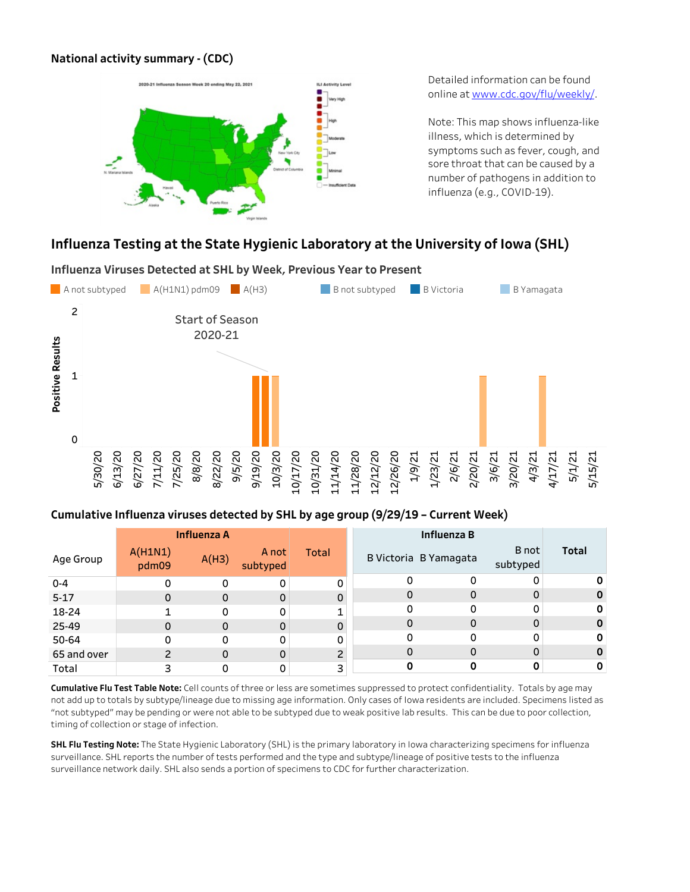# **Nationalactivitysummary-(CDC)**



Detailed information can be found onlineatwww.cdc.gov/flu/weekly/.

Note: This map shows influenza-like illness, which is determined by symptoms such as fever, cough, and sore throat that can be caused by a number of pathogens in addition to influenza (e.g., COVID-19).

# Influenza Testing at the State Hygienic Laboratory at the University of Iowa (SHL)



## Cumulative Influenza viruses detected by SHL by age group (9/29/19 - Current Week)

|             |                  | <b>Influenza A</b> |                   |                |   | Influenza B           |                   |              |
|-------------|------------------|--------------------|-------------------|----------------|---|-----------------------|-------------------|--------------|
| Age Group   | A(H1N1)<br>pdm09 | A(H3)              | A not<br>subtyped | Total          |   | B Victoria B Yamagata | B not<br>subtyped | <b>Total</b> |
| $0 - 4$     | 0                | 0                  | 0                 | 0              | 0 | 0                     | 0                 |              |
| $5 - 17$    | 0                | 0                  | $\mathbf 0$       | 0              | 0 | 0                     | 0                 |              |
| 18-24       |                  |                    |                   |                | 0 | 0                     | 0                 |              |
| 25-49       | 0                | 0                  | $\Omega$          | 0              | 0 | 0                     | 0                 |              |
| 50-64       | 0                | 0                  | 0                 | 0              |   | ი                     | 0                 |              |
| 65 and over | っ                | 0                  | $\Omega$          | $\overline{c}$ | 0 | 0                     | 0                 |              |
| Total       | 3                |                    |                   | 3              |   |                       | 0                 |              |

Cumulative Flu Test Table Note: Cell counts of three or less are sometimes suppressed to protect confidentiality. Totals by age may not add up to totals by subtype/lineage due to missing age information. Only cases of Iowa residents are included. Specimens listed as "not subtyped" may be pending or were not able to be subtyped due to weak positive lab results. This can be due to poor collection, timing of collection or stage of infection.

**SHL Flu Testing Note:** The State Hygienic Laboratory (SHL) is the primary laboratory in Iowa characterizing specimens for influenza surveillance. SHL reports the number of tests performed and the type and subtype/lineage of positive tests to the influenza surveillance network daily. SHL also sends a portion of specimens to CDC for further characterization.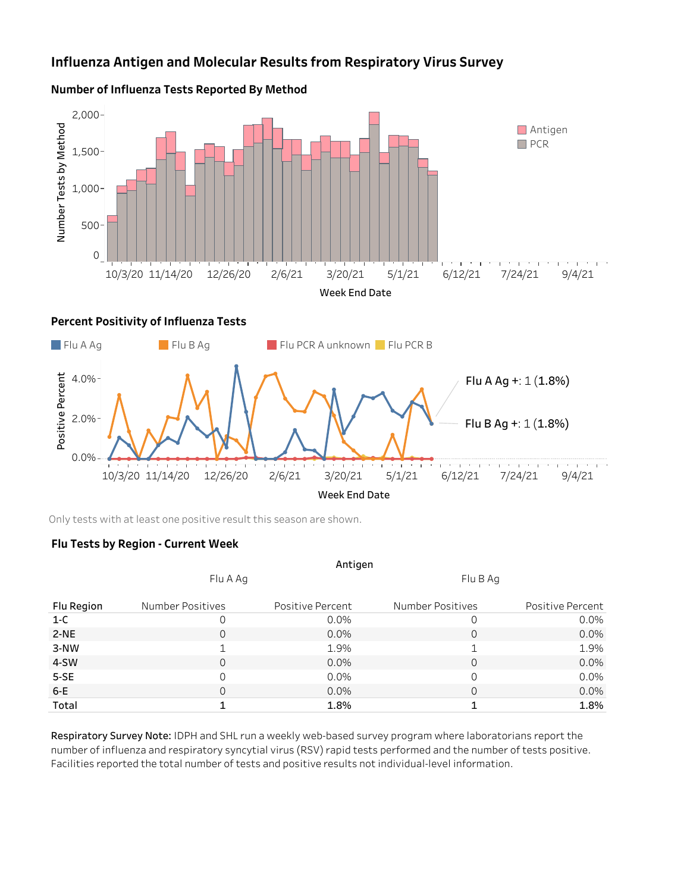# **Influenza Antigen and Molecular Results from Respiratory Virus Survey**



#### **Number of Influenza Tests Reported By Method**

Only tests with at least one positive result this season are shown.

## **FluTestsbyRegion-CurrentWeek**

|            |                  | Antigen          |                  |                  |
|------------|------------------|------------------|------------------|------------------|
|            | Flu A Ag         |                  | Flu B Ag         |                  |
| Flu Region | Number Positives | Positive Percent | Number Positives | Positive Percent |
| $1-C$      |                  | 0.0%             | 0                | $0.0\%$          |
| $2-NE$     | 0                | 0.0%             | 0                | $0.0\%$          |
| $3-NW$     | 1                | 1.9%             | 1                | 1.9%             |
| 4-SW       | $\Omega$         | 0.0%             | 0                | $0.0\%$          |
| $5-SE$     | $\Omega$         | $0.0\%$          | 0                | 0.0%             |
| $6-E$      | $\Omega$         | $0.0\%$          | 0                | $0.0\%$          |
| Total      |                  | 1.8%             | 1                | 1.8%             |

Respiratory Survey Note: IDPH and SHL run a weekly web-based survey program where laboratorians report the number of influenza and respiratory syncytial virus (RSV) rapid tests performed and the number of tests positive. Facilities reported the total number of tests and positive results not individual-level information.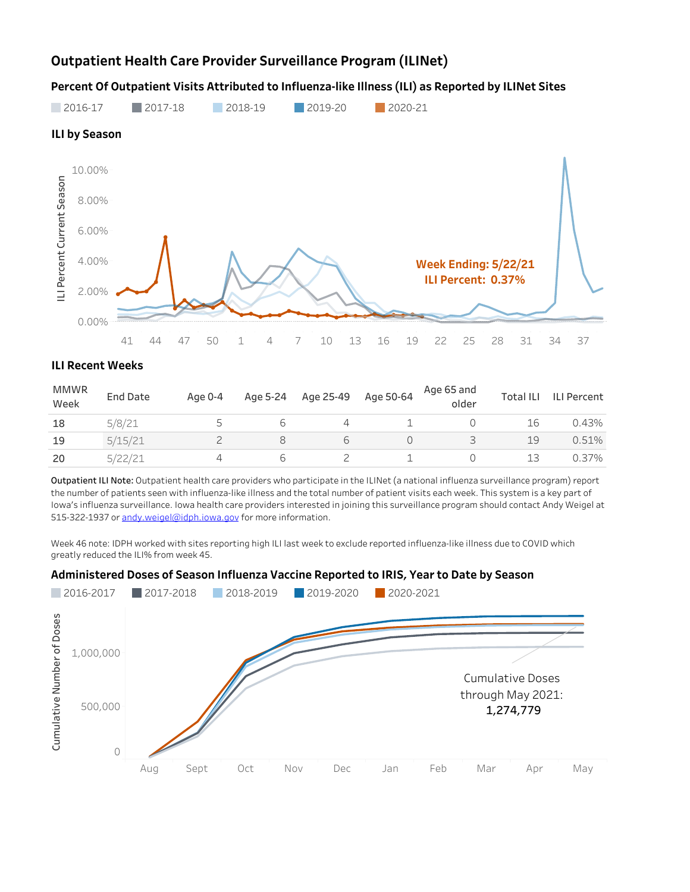# **Outpatient Health Care Provider Surveillance Program (ILINet)**

Percent Of Outpatient Visits Attributed to Influenza-like Illness (ILI) as Reported by ILINet Sites



## **ILI Recent Weeks**

| <b>MMWR</b><br>Week | <b>End Date</b> | Age 0-4 | Age 5-24                 | Age 25-49 | Age 50-64 | Age 65 and<br>older | <b>Total ILI</b> | <b>ILI Percent</b> |
|---------------------|-----------------|---------|--------------------------|-----------|-----------|---------------------|------------------|--------------------|
| 18                  | 5/8/21          |         | $\overline{\phantom{a}}$ |           |           |                     | lб               | 0.43%              |
| 19                  | 5/15/21         |         |                          |           |           |                     | 19               | 0.51%              |
| 20                  |                 |         | $\overline{\phantom{a}}$ |           |           |                     | 13               | 0.37%              |

Outpatient ILI Note: Outpatient health care providers who participate in the ILINet (a national influenza surveillance program) report the number of patients seen with influenza-like illness and the total number of patient visits each week. This system is a key part of Iowa's influenza surveillance. Iowa health care providers interested in joining this surveillance program should contact Andy Weigel at 515-322-1937 or andy.weigel@idph.iowa.gov for more information.

Week 46 note: IDPH worked with sites reporting high ILI last week to exclude reported influenza-like illness due to COVID which greatly reduced the ILI% from week 45.

#### Administered Doses of Season Influenza Vaccine Reported to IRIS, Year to Date by Season

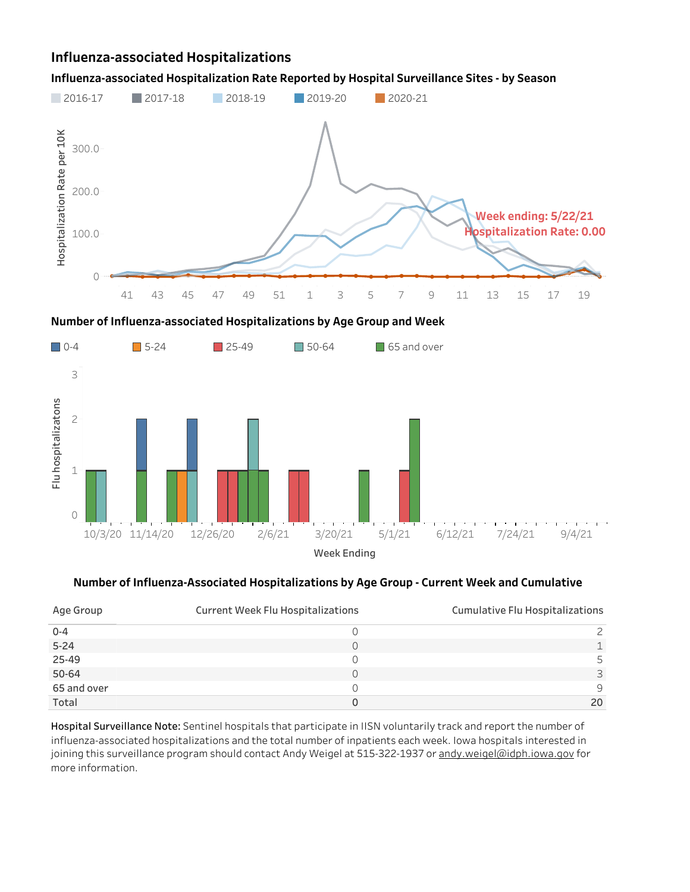# **Influenza-associatedHospitalizations**

### Influenza-associated Hospitalization Rate Reported by Hospital Surveillance Sites - by Season







### Number of Influenza-Associated Hospitalizations by Age Group - Current Week and Cumulative

| Age Group   | <b>Current Week Flu Hospitalizations</b> | Cumulative Flu Hospitalizations |
|-------------|------------------------------------------|---------------------------------|
| $0 - 4$     |                                          |                                 |
| $5 - 24$    |                                          |                                 |
| 25-49       |                                          |                                 |
| 50-64       |                                          | ⊃                               |
| 65 and over |                                          | a                               |
| Total       |                                          | 20                              |

Hospital Surveillance Note: Sentinel hospitals that participate in IISN voluntarily track and report the number of influenza-associated hospitalizations and the total number of inpatients each week. Iowa hospitals interested in joining this surveillance program should contact Andy Weigel at 515-322-1937 or andy.weigel@idph.iowa.gov for more information.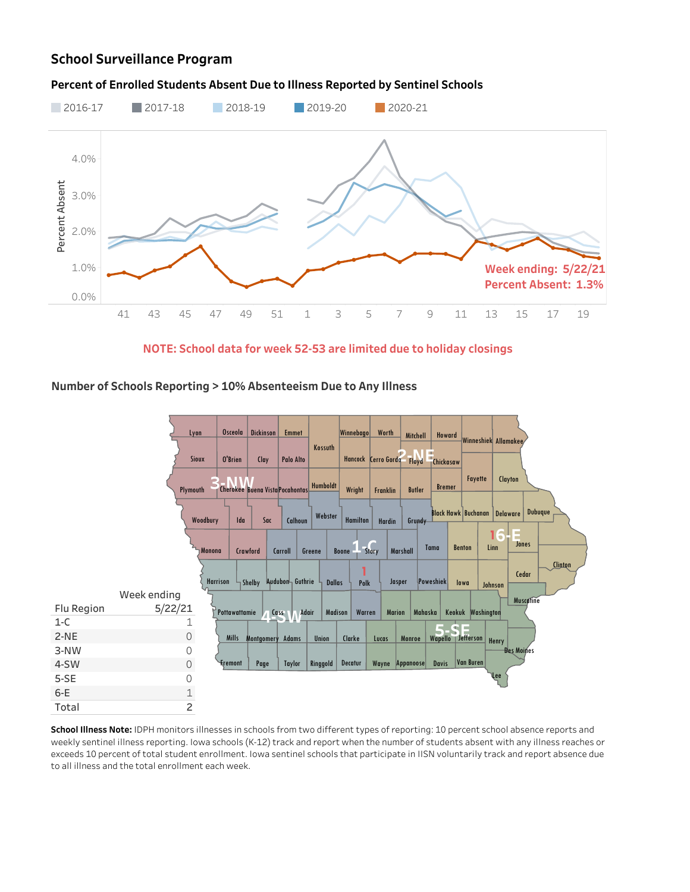# **School Surveillance Program**

#### Percent of Enrolled Students Absent Due to Illness Reported by Sentinel Schools



**NOTE:Schooldataforweek52-53arelimitedduetoholidayclosings**

## Number of Schools Reporting > 10% Absenteeism Due to Any Illness



School Illness Note: IDPH monitors illnesses in schools from two different types of reporting: 10 percent school absence reports and weekly sentinel illness reporting. Iowa schools (K-12) track and report when the number of students absent with any illness reaches or exceeds 10 percent of total student enrollment. Iowa sentinel schools that participate in IISN voluntarily track and report absence due to all illness and the total enrollment each week.